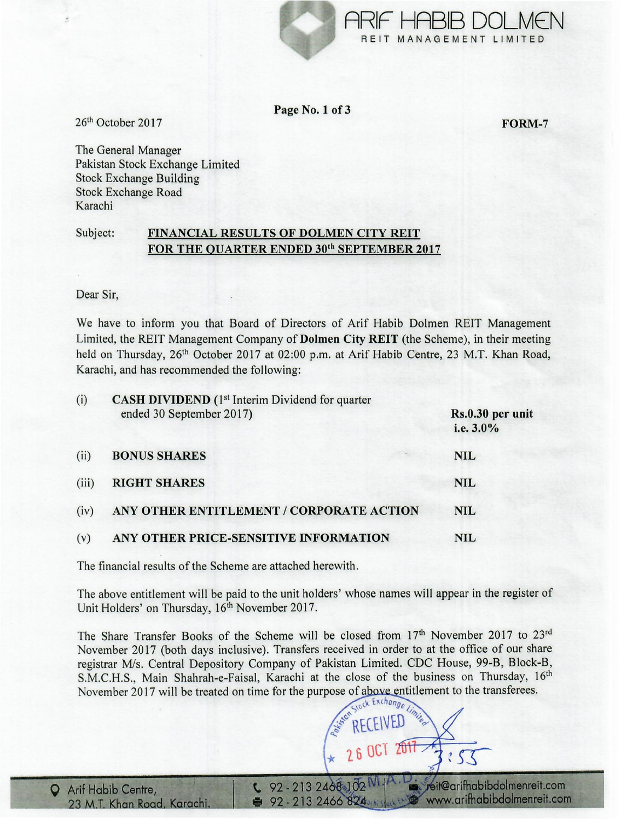

Page No. 1 of 3

FORM-7

26th October 2017

The General Manager Pakistan Stock Exchange Limited Stock Exchange Building Stock Exchange Road Karachi

## Subject: FINANCIAL RESULTS OF DOLMEN CITY REIT FOR THE QUARTER ENDED 30<sup>th</sup> SEPTEMBER 2017

Dear Sir,

We have to inform you that Board of Directors of Arif Habib Dolmen REIT Management Limited, the REIT Management Company of Dolmen City REIT (the Scheme), in their meeting held on Thursday, 26<sup>th</sup> October 2017 at 02:00 p.m. at Arif Habib Centre, 23 M.T. Khan Road, Karachi, and has recommended the following:

| (i)   | CASH DIVIDEND (1 <sup>st</sup> Interim Dividend for quarter<br>ended 30 September 2017) | Rs.0.30 per unit<br>i.e. 3.0% |
|-------|-----------------------------------------------------------------------------------------|-------------------------------|
| (ii)  | <b>BONUS SHARES</b>                                                                     | <b>NIL</b>                    |
| (iii) | <b>RIGHT SHARES</b>                                                                     | <b>NIL</b>                    |
| (iv)  | ANY OTHER ENTITLEMENT / CORPORATE ACTION                                                | <b>NIL</b>                    |
| (v)   | ANY OTHER PRICE-SENSITIVE INFORMATION                                                   | <b>NIL</b>                    |

The financial results of the Scheme are attached herewith.

The above entitlement will be paid to the unit holders' whose names will appear in the register of Unit Holders' on Thursday, 16<sup>th</sup> November 2017.

The Share Transfer Books of the Scheme will be closed from 17<sup>th</sup> November 2017 to 23<sup>rd</sup> November 2017 (both days inclusive). Transfers received in order to at the office of our share registrar *MIs.* Central Depository Company of Pakistan Limited. CDC House, 99-B, Block-B, S.M.C.H.S., Main Shahrah-e-Faisal, Karachi at the close of the business on Thursday, 16<sup>th</sup> November 2017 will be treated on time for the purpose of above entitlement to the transferees.

eit@arifhabibdolmenreit.com  $22 - 2132468102$ www.arifhabibdolmenreit.com  $92 - 2132466824$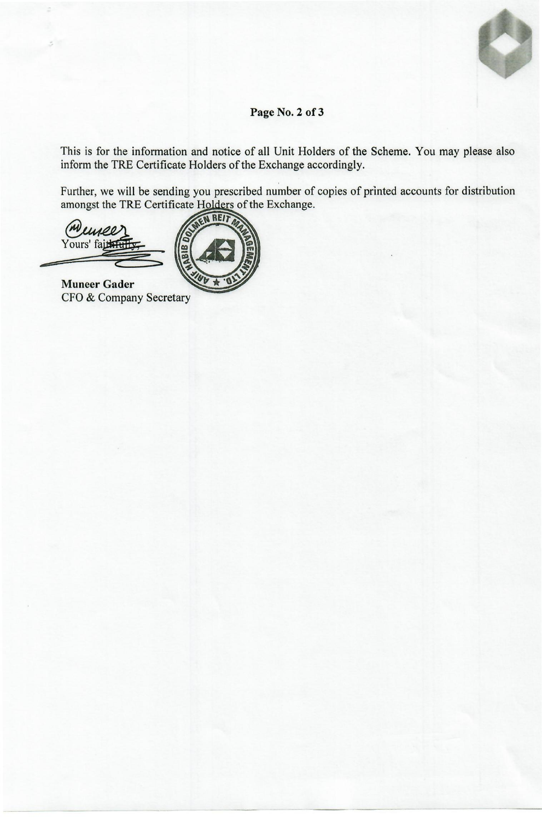## Page No. 2 of 3

This is for the information and notice of all Unit Holders of the Scheme. You may please also inform the TRE Certificate Holders of the Exchange accordingly.

Further, we will be sending you prescribed number of copies of printed accounts for distribution<br>amongst the TRE Certificate Holders of the Exchange.

mee Yours' faithfu



**Muneer Gader** CFO & Company Secretary